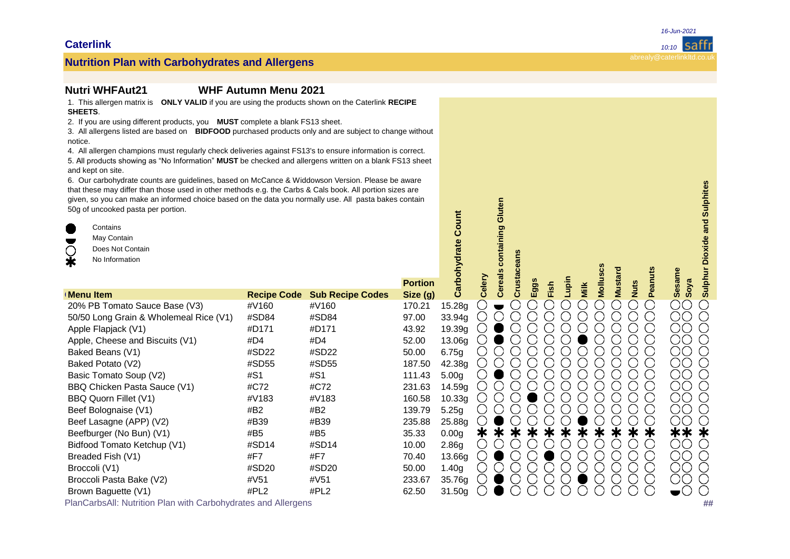### **Nutrition Plan: WHFAut21 WHF Autumn Menu 2021**

1. This allergen matrix is **ONLY VALID** if you are using the products shown on the Caterlink **RECIPE SHEETS**.

2. If you are using different products, you **MUST** complete a blank FS13 sheet.

3. All allergens listed are based on **BIDFOOD** purchased products only and are subject to change without notice.

4. All allergen champions must regularly check deliveries against FS13's to ensure information is correct. 5. All products showing as "No Information" MUST be checked and allergens written on a blank FS13 sheet and kept on site.

6. Our carbohydrate counts are guidelines, based on McCance & Widdowson Version. Please be aware that these may differ than those used in other methods e.g. the Carbs & Cals book. All portion sizes are given, so you can make an informed choice based on the data you normally use. All pasta bakes contain 50g of uncooked pasta per portion.

| 6. Our carbonydrate counts are guidelines, based on McCance & Widdowson Version. Please be aware<br>that these may differ than those used in other methods e.g. the Carbs & Cals book. All portion sizes are<br>given, so you can make an informed choice based on the data you normally use. All pasta bakes contain<br>50g of uncooked pasta per portion.<br>$\blacksquare$<br>Contains<br>May Contain<br>$\overline{\phantom{a}}$<br>$\bigcirc$<br>Does Not Contain<br>$\ddot{\textbf{x}}$<br>No Information |                    |                         |                           |                    |        | containing Gluten       |     |      |       |      | Molluscs |                               |                | <b>Dioxide and Sulphites</b><br>Sulphur |
|-----------------------------------------------------------------------------------------------------------------------------------------------------------------------------------------------------------------------------------------------------------------------------------------------------------------------------------------------------------------------------------------------------------------------------------------------------------------------------------------------------------------|--------------------|-------------------------|---------------------------|--------------------|--------|-------------------------|-----|------|-------|------|----------|-------------------------------|----------------|-----------------------------------------|
| <b>Menu Item</b>                                                                                                                                                                                                                                                                                                                                                                                                                                                                                                | <b>Recipe Code</b> | <b>Sub Recipe Codes</b> | <b>Portion</b><br>Size(g) | Carbohydrate       | Celery | <b>Cereals</b><br>Crust | Egg | Fish | Lupin | Milk |          | <b>Mustard</b><br><b>Nuts</b> | <b>Peanuts</b> | <b>Sesame</b><br>Soya                   |
| 20% PB Tomato Sauce Base (V3)                                                                                                                                                                                                                                                                                                                                                                                                                                                                                   | #V160              | #V160                   | 170.21                    | 15.28g             |        |                         |     |      |       |      |          |                               | - 3            | $\rm CO$                                |
| 50/50 Long Grain & Wholemeal Rice (V1)                                                                                                                                                                                                                                                                                                                                                                                                                                                                          | #SD84              | #SD84                   | 97.00                     | 33.94g             |        |                         |     |      |       |      |          |                               |                | OО                                      |
| Apple Flapjack (V1)                                                                                                                                                                                                                                                                                                                                                                                                                                                                                             | #D171              | #D171                   | 43.92                     | 19.39g             |        |                         |     |      |       |      |          |                               |                | ΟO                                      |
| Apple, Cheese and Biscuits (V1)                                                                                                                                                                                                                                                                                                                                                                                                                                                                                 | #D4                | #D4                     | 52.00                     | 13.06g             |        |                         |     |      |       |      |          |                               |                | ΟO                                      |
| Baked Beans (V1)                                                                                                                                                                                                                                                                                                                                                                                                                                                                                                | #SD22              | #SD22                   | 50.00                     | 6.75g              |        |                         |     |      |       |      |          |                               |                | OО                                      |
| Baked Potato (V2)                                                                                                                                                                                                                                                                                                                                                                                                                                                                                               | #SD55              | #SD55                   | 187.50                    | 42.38g             |        |                         |     |      |       |      |          |                               |                | ΟO                                      |
| Basic Tomato Soup (V2)                                                                                                                                                                                                                                                                                                                                                                                                                                                                                          | #S1                | #S1                     | 111.43                    | 5.00 <sub>q</sub>  |        |                         |     |      |       |      |          |                               |                | OО                                      |
| BBQ Chicken Pasta Sauce (V1)                                                                                                                                                                                                                                                                                                                                                                                                                                                                                    | #C72               | #C72                    | 231.63                    | 14.59g             |        |                         |     |      |       |      |          |                               |                | ΟO                                      |
| BBQ Quorn Fillet (V1)                                                                                                                                                                                                                                                                                                                                                                                                                                                                                           | #V183              | #V183                   | 160.58                    | 10.33g             |        |                         |     |      |       |      |          |                               |                | OО                                      |
| Beef Bolognaise (V1)                                                                                                                                                                                                                                                                                                                                                                                                                                                                                            | #B2                | #B2                     | 139.79                    | 5.25g              |        |                         |     |      |       |      |          |                               |                | ОO                                      |
| Beef Lasagne (APP) (V2)                                                                                                                                                                                                                                                                                                                                                                                                                                                                                         | #B39               | #B39                    | 235.88                    | 25.88g             |        |                         |     |      |       |      |          |                               |                | DС                                      |
| Beefburger (No Bun) (V1)                                                                                                                                                                                                                                                                                                                                                                                                                                                                                        | #B5                | #B5                     | 35.33                     | 0.00 <sub>g</sub>  | ∗      |                         |     |      | Ж     |      |          |                               | ≭              | $**$<br>∗                               |
| Bidfood Tomato Ketchup (V1)                                                                                                                                                                                                                                                                                                                                                                                                                                                                                     | #SD14              | #SD14                   | 10.00                     | 2.86g              |        |                         |     |      |       |      |          |                               |                | OO                                      |
| Breaded Fish (V1)                                                                                                                                                                                                                                                                                                                                                                                                                                                                                               | #F7                | #F7                     | 70.40                     | 13.66g             |        |                         |     |      |       |      |          |                               |                | OO                                      |
| Broccoli (V1)                                                                                                                                                                                                                                                                                                                                                                                                                                                                                                   | #SD20              | #SD20                   | 50.00                     | 1.40g              |        |                         |     |      |       |      |          |                               | .<br>ب         | ΟO                                      |
| Broccoli Pasta Bake (V2)                                                                                                                                                                                                                                                                                                                                                                                                                                                                                        | #V51               | #V51                    | 233.67                    | 35.76g             |        |                         |     |      |       |      |          |                               |                | ΟO                                      |
| Brown Baguette (V1)                                                                                                                                                                                                                                                                                                                                                                                                                                                                                             | #PL2               | #PL2                    | 62.50                     | 31.50 <sub>g</sub> |        |                         |     |      |       |      |          |                               |                | $\bullet$ <sup>()</sup>                 |
| PlanCarbsAll: Nutrition Plan with Carbohydrates and Allergens                                                                                                                                                                                                                                                                                                                                                                                                                                                   |                    |                         |                           |                    |        |                         |     |      |       |      |          |                               |                | ##                                      |

*16-Jun-2021*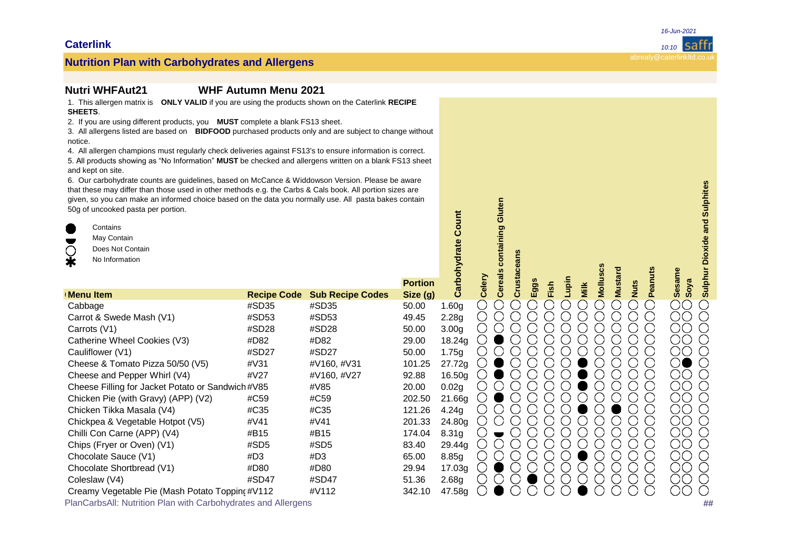### **Nutrition Plan: WHFAut21 WHF Autumn Menu 2021**

1. This allergen matrix is **ONLY VALID** if you are using the products shown on the Caterlink **RECIPE SHEETS**.

2. If you are using different products, you **MUST** complete a blank FS13 sheet.

3. All allergens listed are based on **BIDFOOD** purchased products only and are subject to change without notice.

4. All allergen champions must regularly check deliveries against FS13's to ensure information is correct. 5. All products showing as "No Information" MUST be checked and allergens written on a blank FS13 sheet and kept on site.

6. Our carbohydrate counts are guidelines, based on McCance & Widdowson Version. Please be aware that these may differ than those used in other methods e.g. the Carbs & Cals book. All portion sizes are given, so you can make an informed choice based on the data you normally use. All pasta bakes contain 50g of uncooked pasta per portion.

| 6. Our carbonydrate counts are guidelines, based on McCance & Widdowson Version. Please be aware<br>that these may differ than those used in other methods e.g. the Carbs & Cals book. All portion sizes are<br>given, so you can make an informed choice based on the data you normally use. All pasta bakes contain<br>50g of uncooked pasta per portion.<br>$\blacksquare$<br>Contains<br>May Contain<br>$\blacksquare$<br>◯<br>Does Not Contain<br>$\ast$<br>No Information |                    |                         |                            |                   |        | containing Gluten<br>Crustacean |             |      |       |      |        |                               |         | <b>Dioxide and Sulphites</b><br>Sulphur             |
|---------------------------------------------------------------------------------------------------------------------------------------------------------------------------------------------------------------------------------------------------------------------------------------------------------------------------------------------------------------------------------------------------------------------------------------------------------------------------------|--------------------|-------------------------|----------------------------|-------------------|--------|---------------------------------|-------------|------|-------|------|--------|-------------------------------|---------|-----------------------------------------------------|
| <b>Menu Item</b>                                                                                                                                                                                                                                                                                                                                                                                                                                                                | <b>Recipe Code</b> | <b>Sub Recipe Codes</b> | <b>Portion</b><br>Size (g) | arbohydrate<br>ت  | Celery | <b>Cereals</b>                  | <b>Eggs</b> | Fish | Lupin | Milk | Mollu  | <b>Mustard</b><br><b>Nuts</b> | Peanuts | <b>Sesame</b><br>Soya                               |
| Cabbage                                                                                                                                                                                                                                                                                                                                                                                                                                                                         | #SD35              | #SD35                   | 50.00                      | 1.60 <sub>q</sub> | ◯      |                                 |             |      |       |      | 7      | ۰,                            | ( )     | $\bigcirc$<br>◯                                     |
| Carrot & Swede Mash (V1)                                                                                                                                                                                                                                                                                                                                                                                                                                                        | #SD53              | #SD53                   | 49.45                      | 2.28g             | $\Box$ |                                 |             |      |       |      |        |                               |         | ОC<br>( )                                           |
| Carrots (V1)                                                                                                                                                                                                                                                                                                                                                                                                                                                                    | #SD28              | #SD28                   | 50.00                      | 3.00 <sub>q</sub> |        |                                 |             |      |       |      |        |                               |         | ОO<br>$\left( \right)$                              |
| Catherine Wheel Cookies (V3)                                                                                                                                                                                                                                                                                                                                                                                                                                                    | #D82               | #D82                    | 29.00                      | 18.24g            |        |                                 |             |      |       |      |        |                               |         | ОC<br>$\bigcirc$                                    |
| Cauliflower (V1)                                                                                                                                                                                                                                                                                                                                                                                                                                                                | #SD27              | #SD27                   | 50.00                      | 1.75g             |        |                                 |             |      |       |      |        |                               |         | ОO<br>$\left( \begin{array}{c} \end{array} \right)$ |
| Cheese & Tomato Pizza 50/50 (V5)                                                                                                                                                                                                                                                                                                                                                                                                                                                | #V31               | #V160, #V31             | 101.25                     | 27.72g            |        |                                 |             |      |       |      |        |                               |         | Ο<br>$\bigcirc$                                     |
| Cheese and Pepper Whirl (V4)                                                                                                                                                                                                                                                                                                                                                                                                                                                    | #V27               | #V160, #V27             | 92.88                      | 16.50g            |        |                                 |             |      |       |      |        |                               |         | OС<br>$\bigcirc$                                    |
| Cheese Filling for Jacket Potato or Sandwich #V85                                                                                                                                                                                                                                                                                                                                                                                                                               |                    | #V85                    | 20.00                      | 0.02g             |        |                                 |             |      |       |      |        |                               |         | ОO                                                  |
| Chicken Pie (with Gravy) (APP) (V2)                                                                                                                                                                                                                                                                                                                                                                                                                                             | #C59               | #C59                    | 202.50                     | 21.66g            |        |                                 |             |      |       |      |        |                               |         | OО<br>$\bigcirc$                                    |
| Chicken Tikka Masala (V4)                                                                                                                                                                                                                                                                                                                                                                                                                                                       | #C35               | #C35                    | 121.26                     | 4.24g             |        |                                 |             |      |       |      |        |                               |         | ОO<br>$\bigcirc$                                    |
| Chickpea & Vegetable Hotpot (V5)                                                                                                                                                                                                                                                                                                                                                                                                                                                | #V41               | #V41                    | 201.33                     | 24.80g            |        |                                 |             |      |       |      |        |                               |         | ОO<br>$\left( \begin{array}{c} \end{array} \right)$ |
| Chilli Con Carne (APP) (V4)                                                                                                                                                                                                                                                                                                                                                                                                                                                     | #B15               | #B15                    | 174.04                     | 8.31g             |        |                                 |             |      |       |      | - 1    | ( )                           | O       | ОO<br>$\bigcirc$                                    |
| Chips (Fryer or Oven) (V1)                                                                                                                                                                                                                                                                                                                                                                                                                                                      | #SD5               | #SD5                    | 83.40                      | 29.44g            |        |                                 |             |      |       |      |        |                               |         | OС<br>$\bigcirc$                                    |
| Chocolate Sauce (V1)                                                                                                                                                                                                                                                                                                                                                                                                                                                            | #D3                | #D3                     | 65.00                      | 8.85g             |        |                                 |             |      |       |      |        |                               |         | ОO<br>$\left( \right)$                              |
| Chocolate Shortbread (V1)                                                                                                                                                                                                                                                                                                                                                                                                                                                       | #D80               | #D80                    | 29.94                      | 17.03g            |        |                                 |             |      |       |      | $\sim$ |                               |         | ОO<br>$\bigcirc$                                    |
| Coleslaw (V4)                                                                                                                                                                                                                                                                                                                                                                                                                                                                   | #SD47              | #SD47                   | 51.36                      | 2.68 <sub>g</sub> |        |                                 |             |      |       |      |        |                               |         | ОC                                                  |
| Creamy Vegetable Pie (Mash Potato Toppin(#V112                                                                                                                                                                                                                                                                                                                                                                                                                                  |                    | #V112                   | 342.10                     | 47.58g            |        |                                 |             |      |       |      |        |                               |         | O<br>( )                                            |
| PlanCarbsAll: Nutrition Plan with Carbohydrates and Allergens                                                                                                                                                                                                                                                                                                                                                                                                                   |                    |                         |                            |                   |        |                                 |             |      |       |      |        |                               |         | ##                                                  |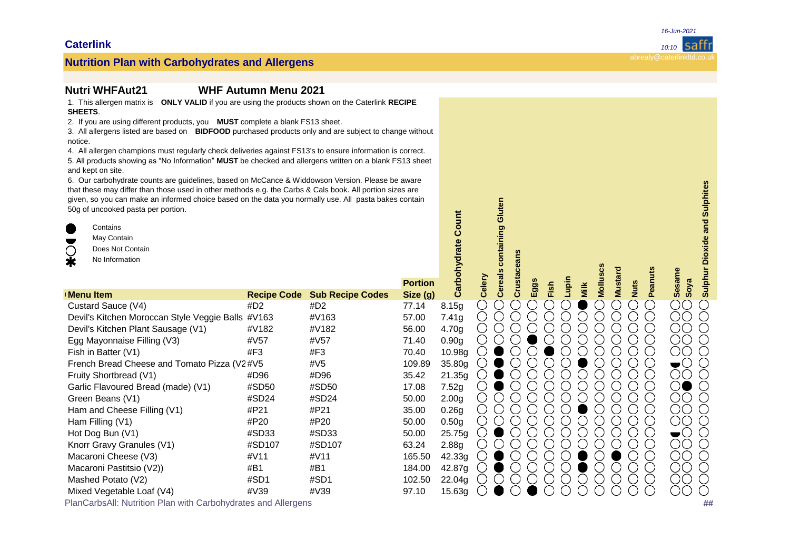## **Nutrition Plan with Carbohydrates and Allergens** and the contract of the contract of the contract of the contract of the contract of the contract of the contract of the contract of the contract of the contract of the cont

#### **Nutrition Plan: WHFAut21 WHF Autumn Menu 2021**

1. This allergen matrix is **ONLY VALID** if you are using the products shown on the Caterlink **RECIPE SHEETS**.

2. If you are using different products, you **MUST** complete a blank FS13 sheet.

3. All allergens listed are based on **BIDFOOD** purchased products only and are subject to change without notice.

4. All allergen champions must regularly check deliveries against FS13's to ensure information is correct. 5. All products showing as "No Information" MUST be checked and allergens written on a blank FS13 sheet and kept on site.

6. Our carbohydrate counts are guidelines, based on McCance & Widdowson Version. Please be aware that these may differ than those used in other methods e.g. the Carbs & Cals book. All portion sizes are given, so you can make an informed choice based on the data you normally use. All pasta bakes contain 50g of uncooked pasta per portion.

**Contains** May Contain Does Not Contain

No Information **Portion Group Menu Item Recipe Code Sub Recipe Codes Size (g)** Custard Sauce (V4) #D2 #D2 77.14 8.15g Devil's Kitchen Moroccan Style Veggie Balls #V163  $\mu$ V163 57.00 7.41g Devil's Kitchen Plant Sausage (V1)  $\#V182$   $\#V182$  56.00 4.70g Egg Mayonnaise Filling (V3) #V57 #V57 71.40 0.90g Fishin Batter (V1) #F3 #F3 70.40 10.98g French Bread Cheese and Tomato Pizza (V2#V5 #V5 #V5 109.89 35.80g Fruity Shortbread (V1) #D96 #D96 35.42 21.35g Garlic Flavoured Bread (made) (V1)  $\qquad$  #SD50  $\qquad$  #SD50 17.08 7.52g Green Beans (V1)  $\text{HSD24}$   $\text{HSD24}$   $\text{HSD24}$   $\text{50.00}$   $\text{2.00g}$ Ham and Cheese Filling (V1)  $\#P21$   $\#P21$   $\#P21$  35.00 0.26g Ham Filling (V1)  $\text{HPO}$  #P20  $\text{HPO}$  50.00 0.50g HotDog Bun (V1) #SD33 #SD33 50.00 25.75g Knorr Gravy Granules (V1)  $\text{HSD107}$  #SD107 63.24 2.88g Macaroni Cheese (V3)  $\#V11$   $\#V11$   $\#V11$  165.50 42.33g Macaroni Pastitsio (V2))  $\#B1$   $\#B1$   $\#B1$  184.00 42.87g Mashed Potato (V2)  $\#SD1$  #SD1 102.50 22.04g Mixed Vegetable Loaf (V4) #V39 #V39 97.10 15.63g **Nutrition Plan and The Allergens and The Allergens and Allergens and Allergens and Allergens and Allergens and Allergens <b>#**<br> **Plus Allergens and Carbon Carbon Carbon Carbon Carbon Carbon Carbon Carbon Carbon Carbon Carb Carbohydrate Count Celery Cereals containing Gluten Crustaceans Eggs** 

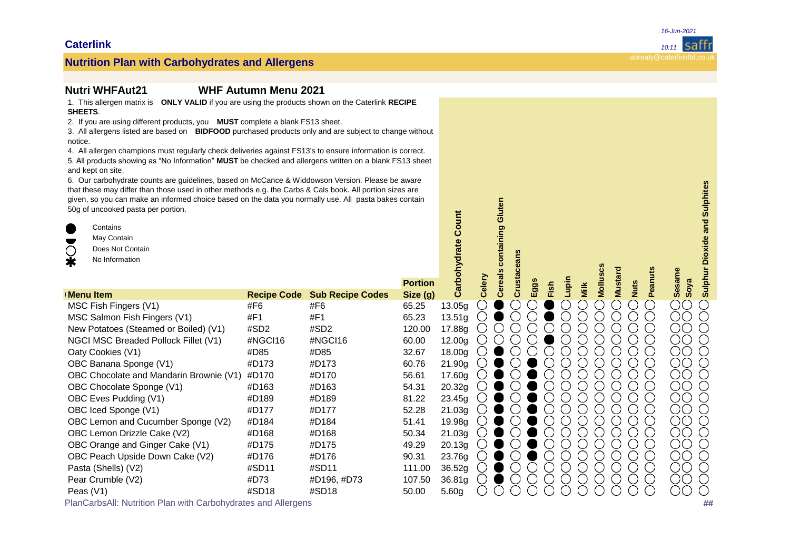### **Nutrition Plan: WHFAut21 WHF Autumn Menu 2021**

1. This allergen matrix is **ONLY VALID** if you are using the products shown on the Caterlink **RECIPE SHEETS**.

2. If you are using different products, you **MUST** complete a blank FS13 sheet.

3. All allergens listed are based on **BIDFOOD** purchased products only and are subject to change without notice.

4. All allergen champions must regularly check deliveries against FS13's to ensure information is correct. 5. All products showing as "No Information" MUST be checked and allergens written on a blank FS13 sheet and kept on site.

6. Our carbohydrate counts are guidelines, based on McCance & Widdowson Version. Please be aware that these may differ than those used in other methods e.g. the Carbs & Cals book. All portion sizes are given, so you can make an informed choice based on the data you normally use. All pasta bakes contain 50g of uncooked pasta per portion.

| 6. Our carbonydrate counts are guidelines, based on McCance & Widdowson Version. Please be aware<br>that these may differ than those used in other methods e.g. the Carbs & Cals book. All portion sizes are<br>given, so you can make an informed choice based on the data you normally use. All pasta bakes contain<br>50g of uncooked pasta per portion.<br>Œ<br>Contains<br>May Contain<br>$\blacksquare$<br>◯<br>Does Not Contain<br>$\bar{\textbf{r}}$<br>No Information | Count<br>arbohydrate | containing Gluten<br><b>Cereals</b> | ceans                     |                    |        |        |             |      | <b>Mustard</b> |      |        | <b>Dioxide and Sulphites</b><br>Sulphur |                          |                       |    |
|--------------------------------------------------------------------------------------------------------------------------------------------------------------------------------------------------------------------------------------------------------------------------------------------------------------------------------------------------------------------------------------------------------------------------------------------------------------------------------|----------------------|-------------------------------------|---------------------------|--------------------|--------|--------|-------------|------|----------------|------|--------|-----------------------------------------|--------------------------|-----------------------|----|
| <b>Menu Item</b>                                                                                                                                                                                                                                                                                                                                                                                                                                                               | <b>Recipe Code</b>   | <b>Sub Recipe Codes</b>             | <b>Portion</b><br>Size(g) | ت                  | Celery | Crusta | <b>Eggs</b> | Fish | Lupin          | Milk | Mollus | <b>Nuts</b>                             | Peanut                   | <b>Sesame</b><br>Soya |    |
| MSC Fish Fingers (V1)                                                                                                                                                                                                                                                                                                                                                                                                                                                          | #F6                  | #F6                                 | 65.25                     | 13.05g             |        |        |             |      |                |      |        |                                         | $\cup$                   | OO                    |    |
| MSC Salmon Fish Fingers (V1)                                                                                                                                                                                                                                                                                                                                                                                                                                                   | #F1                  | #F1                                 | 65.23                     | 13.51g             |        |        |             |      |                |      |        |                                         |                          | OО                    |    |
| New Potatoes (Steamed or Boiled) (V1)                                                                                                                                                                                                                                                                                                                                                                                                                                          | #SD2                 | #SD2                                | 120.00                    | 17.88g             |        |        |             |      |                |      |        |                                         |                          | OО                    |    |
| NGCI MSC Breaded Pollock Fillet (V1)                                                                                                                                                                                                                                                                                                                                                                                                                                           | #NGCI16              | #NGCI16                             | 60.00                     | 12.00 <sub>g</sub> |        |        |             |      |                |      |        |                                         |                          | ОO                    |    |
| Oaty Cookies (V1)                                                                                                                                                                                                                                                                                                                                                                                                                                                              | #D85                 | #D85                                | 32.67                     | 18.00g             |        |        |             |      |                |      |        |                                         |                          | ОO                    |    |
| OBC Banana Sponge (V1)                                                                                                                                                                                                                                                                                                                                                                                                                                                         | #D173                | #D173                               | 60.76                     | 21.90g             |        |        |             |      |                |      |        |                                         |                          | ΟO                    |    |
| OBC Chocolate and Mandarin Brownie (V1)                                                                                                                                                                                                                                                                                                                                                                                                                                        | #D170                | #D170                               | 56.61                     | 17.60g             |        |        |             |      |                |      |        |                                         |                          | ОO                    |    |
| OBC Chocolate Sponge (V1)                                                                                                                                                                                                                                                                                                                                                                                                                                                      | #D163                | #D163                               | 54.31                     | 20.32g             |        |        |             |      |                |      |        |                                         |                          | ΟO                    |    |
| OBC Eves Pudding (V1)                                                                                                                                                                                                                                                                                                                                                                                                                                                          | #D189                | #D189                               | 81.22                     | 23.45g             |        |        |             |      |                |      |        |                                         |                          | ΟO                    |    |
| OBC Iced Sponge (V1)                                                                                                                                                                                                                                                                                                                                                                                                                                                           | #D177                | #D177                               | 52.28                     | 21.03g             |        |        |             |      |                |      |        |                                         |                          | ОO                    |    |
| OBC Lemon and Cucumber Sponge (V2)                                                                                                                                                                                                                                                                                                                                                                                                                                             | #D184                | #D184                               | 51.41                     | 19.98g             |        |        |             |      |                |      |        |                                         |                          | ΟO                    |    |
| OBC Lemon Drizzle Cake (V2)                                                                                                                                                                                                                                                                                                                                                                                                                                                    | #D168                | #D168                               | 50.34                     | 21.03g             |        |        |             |      |                |      |        |                                         | $\overline{\phantom{0}}$ | ΟO                    |    |
| OBC Orange and Ginger Cake (V1)                                                                                                                                                                                                                                                                                                                                                                                                                                                | #D175                | #D175                               | 49.29                     | 20.13 <sub>g</sub> |        |        |             |      |                |      |        |                                         |                          | ΟO                    |    |
| OBC Peach Upside Down Cake (V2)                                                                                                                                                                                                                                                                                                                                                                                                                                                | #D176                | #D176                               | 90.31                     | 23.76g             |        |        |             |      |                |      |        |                                         |                          | ΟO                    |    |
| Pasta (Shells) (V2)                                                                                                                                                                                                                                                                                                                                                                                                                                                            | #SD11                | #SD11                               | 111.00                    | 36.52g             |        |        |             |      |                |      |        |                                         |                          | ΟO                    |    |
| Pear Crumble (V2)                                                                                                                                                                                                                                                                                                                                                                                                                                                              | #D73                 | #D196, #D73                         | 107.50                    | 36.81g             |        |        |             |      |                |      |        |                                         |                          | OО                    |    |
| Peas (V1)                                                                                                                                                                                                                                                                                                                                                                                                                                                                      | #SD18                | #SD18                               | 50.00                     | 5.60 <sub>q</sub>  |        |        |             |      |                |      |        |                                         |                          | ОO                    |    |
| PlanCarbsAll: Nutrition Plan with Carbohydrates and Allergens                                                                                                                                                                                                                                                                                                                                                                                                                  |                      |                                     |                           |                    |        |        |             |      |                |      |        |                                         |                          |                       | ## |

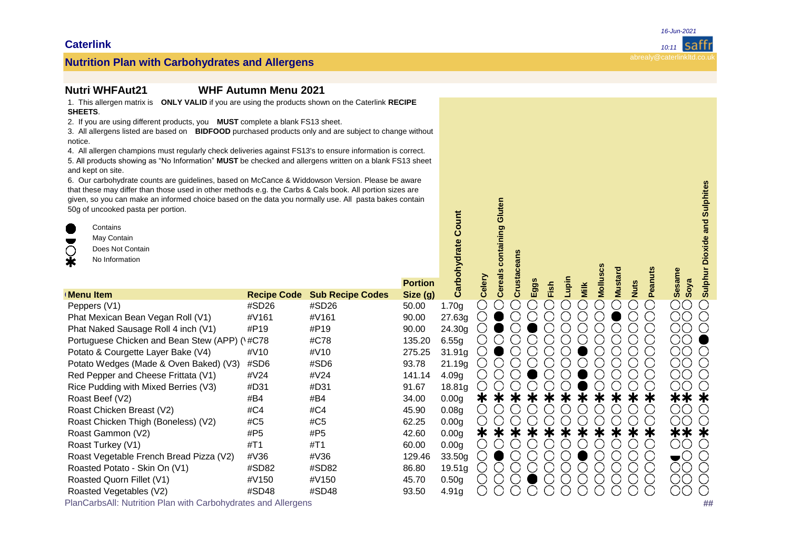### **Nutrition Plan: WHFAut21 WHF Autumn Menu 2021**

1. This allergen matrix is **ONLY VALID** if you are using the products shown on the Caterlink **RECIPE SHEETS**.

2. If you are using different products, you **MUST** complete a blank FS13 sheet.

3. All allergens listed are based on **BIDFOOD** purchased products only and are subject to change without notice.

4. All allergen champions must regularly check deliveries against FS13's to ensure information is correct. 5. All products showing as "No Information" MUST be checked and allergens written on a blank FS13 sheet and kept on site.

6. Our carbohydrate counts are guidelines, based on McCance & Widdowson Version. Please be aware that these may differ than those used in other methods e.g. the Carbs & Cals book. All portion sizes are given, so you can make an informed choice based on the data you normally use. All pasta bakes contain 50g of uncooked pasta per portion.

| 6. Our carbonydrate counts are guidelines, based on McCance & Widdowson Version. Please be aware<br>that these may differ than those used in other methods e.g. the Carbs & Cals book. All portion sizes are<br>given, so you can make an informed choice based on the data you normally use. All pasta bakes contain<br>50g of uncooked pasta per portion.<br>Œ<br>Contains<br>May Contain<br>$\blacksquare$<br>◯<br>Does Not Contain<br>$\ddot{\textbf{r}}$<br>No Information |                    |                         |                           |                   |        | containing Gluten |       |     |      |       |      | Molluscs |                               |              |                       | <b>Dioxide and Sulphites</b><br>Sulphur I |
|---------------------------------------------------------------------------------------------------------------------------------------------------------------------------------------------------------------------------------------------------------------------------------------------------------------------------------------------------------------------------------------------------------------------------------------------------------------------------------|--------------------|-------------------------|---------------------------|-------------------|--------|-------------------|-------|-----|------|-------|------|----------|-------------------------------|--------------|-----------------------|-------------------------------------------|
| <b>Menu Item</b>                                                                                                                                                                                                                                                                                                                                                                                                                                                                | <b>Recipe Code</b> | <b>Sub Recipe Codes</b> | <b>Portion</b><br>Size(g) | Carbohydrate      | Celery | <b>Cereals</b>    | Crust | Egg | Fish | Lupin | Milk |          | <b>Mustard</b><br><b>Nuts</b> | Pea          | <b>Sesame</b><br>Soya |                                           |
| Peppers (V1)                                                                                                                                                                                                                                                                                                                                                                                                                                                                    | #SD26              | #SD26                   | 50.00                     | 1.70 <sub>q</sub> |        |                   |       |     |      |       |      |          |                               | $\Box$       | $\bigcirc$            |                                           |
| Phat Mexican Bean Vegan Roll (V1)                                                                                                                                                                                                                                                                                                                                                                                                                                               | #V161              | #V161                   | 90.00                     | 27.63g            |        |                   |       |     |      |       |      |          |                               |              | OО                    |                                           |
| Phat Naked Sausage Roll 4 inch (V1)                                                                                                                                                                                                                                                                                                                                                                                                                                             | #P19               | #P19                    | 90.00                     | 24.30g            |        |                   |       |     |      |       |      |          |                               | $\mathbf{1}$ | ΟO                    |                                           |
| Portuguese Chicken and Bean Stew (APP) (1#C78                                                                                                                                                                                                                                                                                                                                                                                                                                   |                    | #C78                    | 135.20                    | 6.55g             |        |                   |       |     |      |       |      |          |                               | . . )        | ОO                    |                                           |
| Potato & Courgette Layer Bake (V4)                                                                                                                                                                                                                                                                                                                                                                                                                                              | #V <sub>10</sub>   | #V10                    | 275.25                    | 31.91g            |        |                   |       |     |      |       |      |          |                               | $\mathbf{L}$ | OО                    |                                           |
| Potato Wedges (Made & Oven Baked) (V3)                                                                                                                                                                                                                                                                                                                                                                                                                                          | #SD6               | #SD6                    | 93.78                     | 21.19g            |        |                   |       |     |      |       |      |          |                               | . . )        | ÒQ                    |                                           |
| Red Pepper and Cheese Frittata (V1)                                                                                                                                                                                                                                                                                                                                                                                                                                             | #V24               | #V24                    | 141.14                    | 4.09 <sub>g</sub> |        |                   |       |     |      |       |      |          |                               | $\Box$       | ΟO                    |                                           |
| Rice Pudding with Mixed Berries (V3)                                                                                                                                                                                                                                                                                                                                                                                                                                            | #D31               | #D31                    | 91.67                     | 18.81g            |        |                   |       |     |      |       |      |          |                               |              | DС                    |                                           |
| Roast Beef (V2)                                                                                                                                                                                                                                                                                                                                                                                                                                                                 | #B4                | #B4                     | 34.00                     | 0.00 <sub>g</sub> | ∗      |                   |       |     |      | Ж     |      |          |                               | Ж            | $**$                  | ж                                         |
| Roast Chicken Breast (V2)                                                                                                                                                                                                                                                                                                                                                                                                                                                       | #C4                | #C4                     | 45.90                     | 0.08 <sub>q</sub> |        |                   |       |     |      |       |      |          |                               | $\Box$       | ΟO                    |                                           |
| Roast Chicken Thigh (Boneless) (V2)                                                                                                                                                                                                                                                                                                                                                                                                                                             | #C5                | #C5                     | 62.25                     | 0.00 <sub>g</sub> |        |                   |       |     |      |       |      |          |                               |              | $\sigma$              |                                           |
| Roast Gammon (V2)                                                                                                                                                                                                                                                                                                                                                                                                                                                               | #P5                | #P5                     | 42.60                     | 0.00 <sub>q</sub> | $\ast$ |                   |       |     |      | ж     | ≭    |          |                               | ∗            | **                    |                                           |
| Roast Turkey (V1)                                                                                                                                                                                                                                                                                                                                                                                                                                                               | #T1                | #T1                     | 60.00                     | 0.00 <sub>g</sub> |        |                   |       |     |      |       |      |          |                               | . )          | OO                    |                                           |
| Roast Vegetable French Bread Pizza (V2)                                                                                                                                                                                                                                                                                                                                                                                                                                         | #V36               | #V36                    | 129.46                    | 33.50g            |        |                   |       |     |      |       |      |          |                               | $\Box$       | ➡( )                  |                                           |
| Roasted Potato - Skin On (V1)                                                                                                                                                                                                                                                                                                                                                                                                                                                   | #SD82              | #SD82                   | 86.80                     | 19.51g            |        |                   |       |     |      |       |      |          |                               | $\cup$       | ОO                    |                                           |
| Roasted Quorn Fillet (V1)                                                                                                                                                                                                                                                                                                                                                                                                                                                       | #V150              | #V150                   | 45.70                     | 0.50 <sub>q</sub> |        |                   |       |     |      |       |      |          |                               |              | ΟO                    |                                           |
| Roasted Vegetables (V2)                                                                                                                                                                                                                                                                                                                                                                                                                                                         | #SD48              | #SD48                   | 93.50                     | 4.91g             |        |                   |       |     |      |       |      |          |                               |              | OO                    |                                           |
| PlanCarbsAll: Nutrition Plan with Carbohydrates and Allergens                                                                                                                                                                                                                                                                                                                                                                                                                   |                    |                         |                           |                   |        |                   |       |     |      |       |      |          |                               |              |                       | ##                                        |

**Caterlink** *10:11*

*16-Jun-2021*

**saffl**